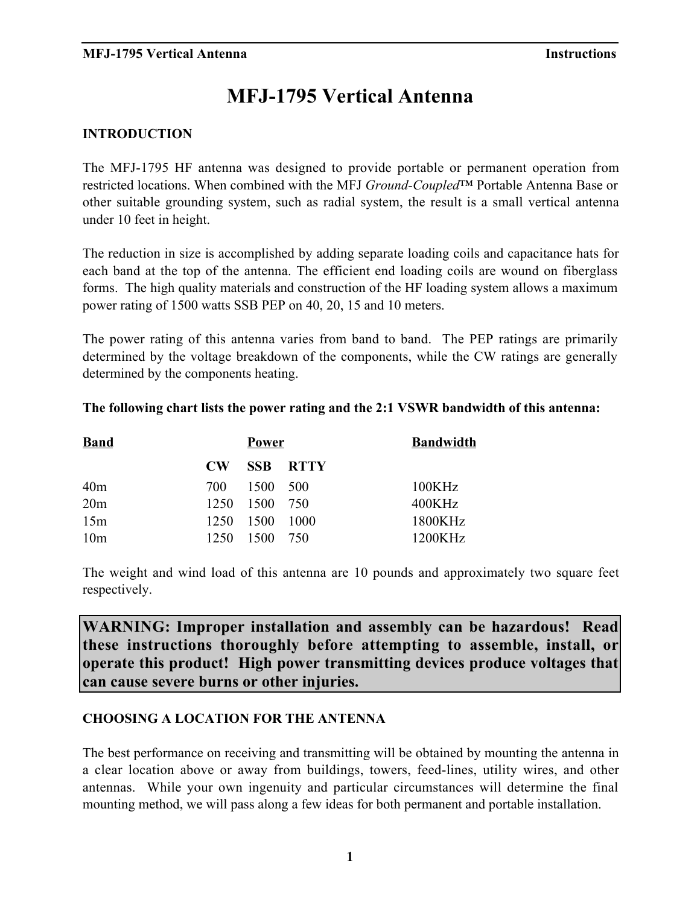# **MFJ-1795 Vertical Antenna**

### **INTRODUCTION**

The MFJ-1795 HF antenna was designed to provide portable or permanent operation from restricted locations. When combined with the MFJ *Ground-Coupled*™ Portable Antenna Base or other suitable grounding system, such as radial system, the result is a small vertical antenna under 10 feet in height.

The reduction in size is accomplished by adding separate loading coils and capacitance hats for each band at the top of the antenna. The efficient end loading coils are wound on fiberglass forms. The high quality materials and construction of the HF loading system allows a maximum power rating of 1500 watts SSB PEP on 40, 20, 15 and 10 meters.

The power rating of this antenna varies from band to band. The PEP ratings are primarily determined by the voltage breakdown of the components, while the CW ratings are generally determined by the components heating.

### **The following chart lists the power rating and the 2:1 VSWR bandwidth of this antenna:**

| <b>Band</b>     | <b>Power</b> |           |                 | <b>Bandwidth</b> |
|-----------------|--------------|-----------|-----------------|------------------|
|                 | $\bf CW$     |           | <b>SSB RTTY</b> |                  |
| 40 <sub>m</sub> | 700          | 1500 500  |                 | 100KHz           |
| 20 <sub>m</sub> | 1250         | 1500 750  |                 | 400KHz           |
| 15m             | 1250         | 1500 1000 |                 | 1800KHz          |
| 10 <sub>m</sub> | 1250         | 1500      | - 750           | 1200KHz          |

The weight and wind load of this antenna are 10 pounds and approximately two square feet respectively.

**WARNING: Improper installation and assembly can be hazardous! Read these instructions thoroughly before attempting to assemble, install, or operate this product! High power transmitting devices produce voltages that can cause severe burns or other injuries.**

### **CHOOSING A LOCATION FOR THE ANTENNA**

The best performance on receiving and transmitting will be obtained by mounting the antenna in a clear location above or away from buildings, towers, feed-lines, utility wires, and other antennas. While your own ingenuity and particular circumstances will determine the final mounting method, we will pass along a few ideas for both permanent and portable installation.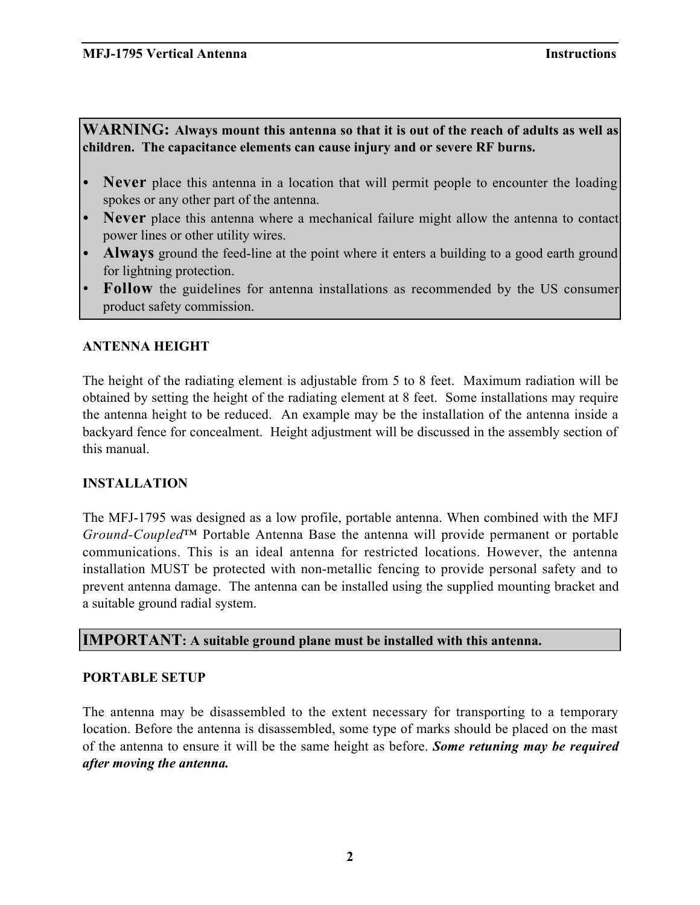### **WARNING: Always mount this antenna so that it is out of the reach of adults as well as children. The capacitance elements can cause injury and or severe RF burns.**

**Never** place this antenna in a location that will permit people to encounter the loading spokes or any other part of the antenna.

• **Never** place this antenna where a mechanical failure might allow the antenna to contact power lines or other utility wires.

Always ground the feed-line at the point where it enters a building to a good earth ground for lightning protection.

**Follow** the guidelines for antenna installations as recommended by the US consumer product safety commission.

### **ANTENNA HEIGHT**

The height of the radiating element is adjustable from 5 to 8 feet. Maximum radiation will be obtained by setting the height of the radiating element at 8 feet. Some installations may require the antenna height to be reduced. An example may be the installation of the antenna inside a backyard fence for concealment. Height adjustment will be discussed in the assembly section of this manual.

### **INSTALLATION**

The MFJ-1795 was designed as a low profile, portable antenna. When combined with the MFJ *Ground-Coupled*™ Portable Antenna Base the antenna will provide permanent or portable communications. This is an ideal antenna for restricted locations. However, the antenna installation MUST be protected with non-metallic fencing to provide personal safety and to prevent antenna damage. The antenna can be installed using the supplied mounting bracket and a suitable ground radial system.

### **IMPORTANT: A suitable ground plane must be installed with this antenna.**

### **PORTABLE SETUP**

The antenna may be disassembled to the extent necessary for transporting to a temporary location. Before the antenna is disassembled, some type of marks should be placed on the mast of the antenna to ensure it will be the same height as before. *Some retuning may be required after moving the antenna.*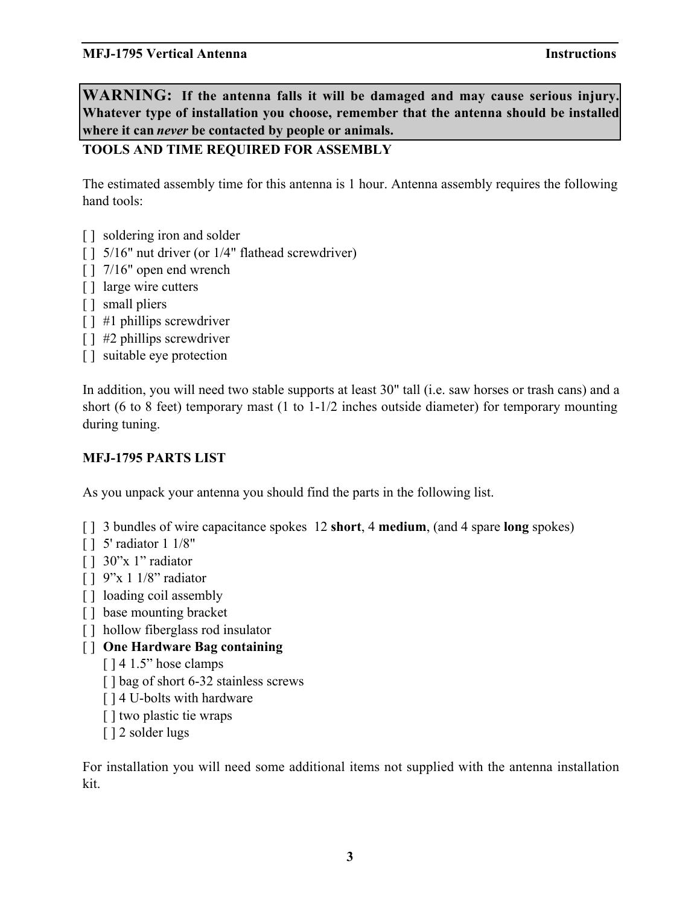**WARNING: If the antenna falls it will be damaged and may cause serious injury. Whatever type of installation you choose, remember that the antenna should be installed where it can** *never* **be contacted by people or animals.**

### **TOOLS AND TIME REQUIRED FOR ASSEMBLY**

The estimated assembly time for this antenna is 1 hour. Antenna assembly requires the following hand tools:

- [ ] soldering iron and solder
- [ ] 5/16" nut driver (or 1/4" flathead screwdriver)
- [ ] 7/16" open end wrench
- [ ] large wire cutters
- [ ] small pliers
- [ ] #1 phillips screwdriver
- [ ] #2 phillips screwdriver
- [] suitable eye protection

In addition, you will need two stable supports at least 30" tall (i.e. saw horses or trash cans) and a short (6 to 8 feet) temporary mast (1 to 1-1/2 inches outside diameter) for temporary mounting during tuning.

### **MFJ-1795 PARTS LIST**

As you unpack your antenna you should find the parts in the following list.

- [ ] 3 bundles of wire capacitance spokes 12 **short**, 4 **medium**, (and 4 spare **long** spokes)
- [ ] 5' radiator 1 1/8"
- [ ] 30"x 1" radiator
- [ ] 9"x 1 1/8" radiator
- [ ] loading coil assembly
- [] base mounting bracket
- [ ] hollow fiberglass rod insulator
- [ ] **One Hardware Bag containing**
	- [ ] 4 1.5" hose clamps
	- [ ] bag of short 6-32 stainless screws
	- [ ] 4 U-bolts with hardware
	- [] two plastic tie wraps
	- [ ] 2 solder lugs

For installation you will need some additional items not supplied with the antenna installation kit.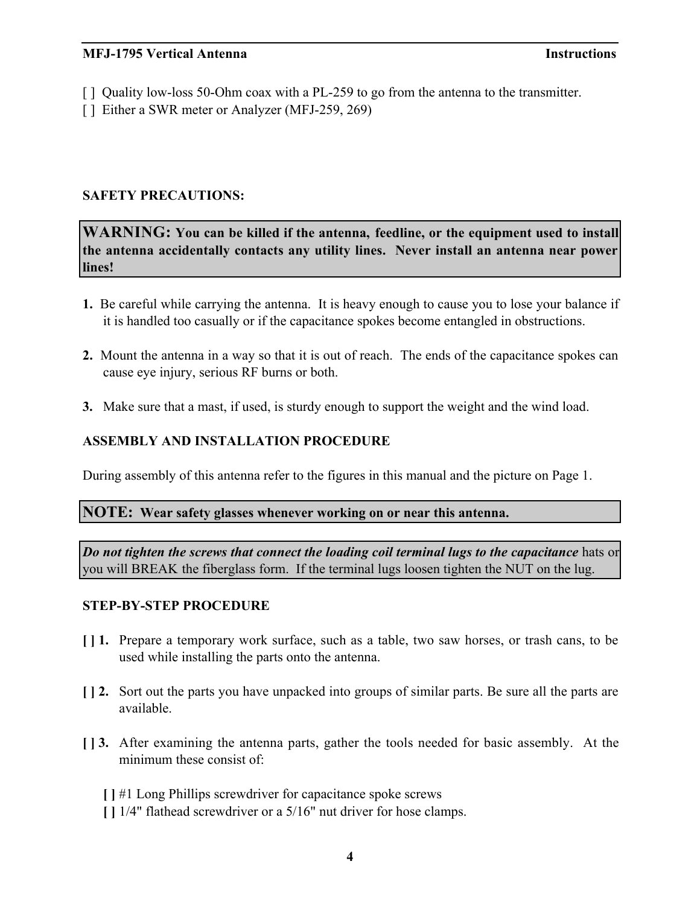- [ ] Quality low-loss 50-Ohm coax with a PL-259 to go from the antenna to the transmitter.
- [ ] Either a SWR meter or Analyzer (MFJ-259, 269)

### **SAFETY PRECAUTIONS:**

**WARNING: You can be killed if the antenna, feedline, or the equipment used to install the antenna accidentally contacts any utility lines. Never install an antenna near power lines!**

- **1.** Be careful while carrying the antenna. It is heavy enough to cause you to lose your balance if it is handled too casually or if the capacitance spokes become entangled in obstructions.
- **2.** Mount the antenna in a way so that it is out of reach. The ends of the capacitance spokes can cause eye injury, serious RF burns or both.
- **3.** Make sure that a mast, if used, is sturdy enough to support the weight and the wind load.

### **ASSEMBLY AND INSTALLATION PROCEDURE**

During assembly of this antenna refer to the figures in this manual and the picture on Page 1.

### **NOTE: Wear safety glasses whenever working on or near this antenna.**

*Do not tighten the screws that connect the loading coil terminal lugs to the capacitance* hats or you will BREAK the fiberglass form. If the terminal lugs loosen tighten the NUT on the lug.

### **STEP-BY-STEP PROCEDURE**

- **[ ] 1.** Prepare a temporary work surface, such as a table, two saw horses, or trash cans, to be used while installing the parts onto the antenna.
- **[ ] 2.** Sort out the parts you have unpacked into groups of similar parts. Be sure all the parts are available.
- **[ ] 3.** After examining the antenna parts, gather the tools needed for basic assembly. At the minimum these consist of:
	- **[ ]** #1 Long Phillips screwdriver for capacitance spoke screws
	- **[ ]** 1/4" flathead screwdriver or a 5/16" nut driver for hose clamps.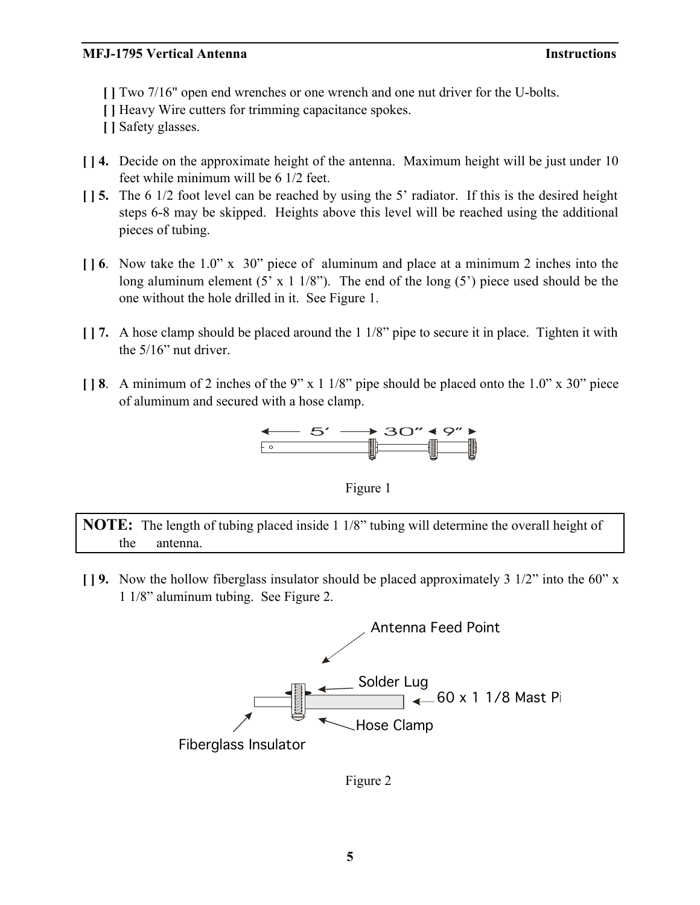**[ ]** Two 7/16" open end wrenches or one wrench and one nut driver for the U-bolts.

- **[ ]** Heavy Wire cutters for trimming capacitance spokes.
- **[ ]** Safety glasses.
- **[ ] 4.** Decide on the approximate height of the antenna. Maximum height will be just under 10 feet while minimum will be 6 1/2 feet.
- **[ ] 5.** The 6 1/2 foot level can be reached by using the 5' radiator. If this is the desired height steps 6-8 may be skipped. Heights above this level will be reached using the additional pieces of tubing.
- **[ ] 6**. Now take the 1.0" x 30" piece of aluminum and place at a minimum 2 inches into the long aluminum element  $(5 \times 1 \frac{1}{8})$ . The end of the long  $(5)$  piece used should be the one without the hole drilled in it. See Figure 1.
- **[ ] 7.** A hose clamp should be placed around the 1 1/8" pipe to secure it in place. Tighten it with the 5/16" nut driver.
- **[ ] 8**. A minimum of 2 inches of the 9" x 1 1/8" pipe should be placed onto the 1.0" x 30" piece of aluminum and secured with a hose clamp.





**NOTE:** The length of tubing placed inside 1 1/8" tubing will determine the overall height of the antenna.

**[ ] 9.** Now the hollow fiberglass insulator should be placed approximately 3 1/2" into the 60" x 1 1/8" aluminum tubing. See Figure 2.



Figure 2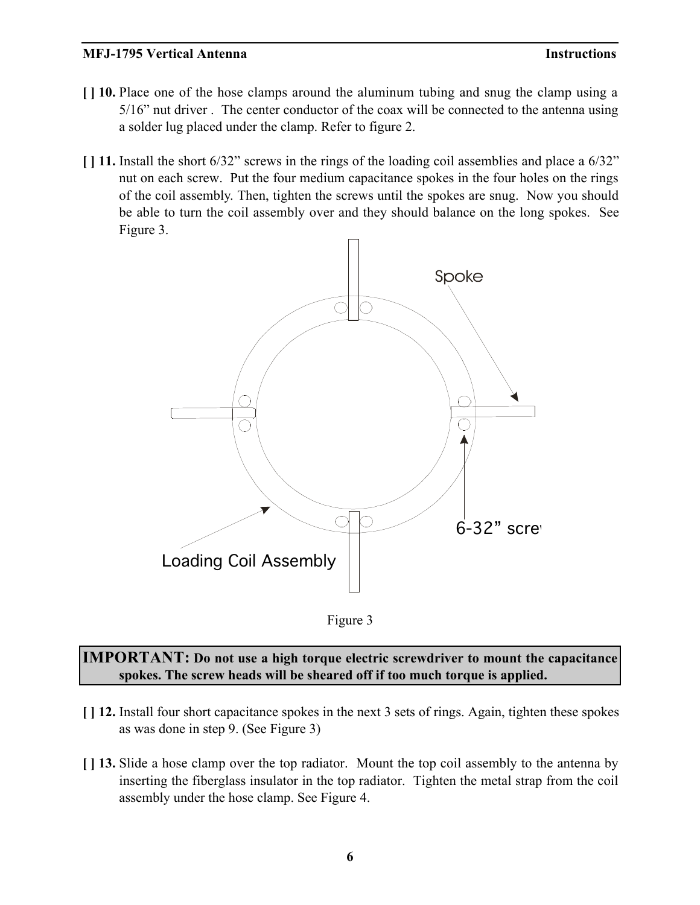- **[ ] 10.** Place one of the hose clamps around the aluminum tubing and snug the clamp using a 5/16" nut driver . The center conductor of the coax will be connected to the antenna using a solder lug placed under the clamp. Refer to figure 2.
- **[ ] 11.** Install the short 6/32" screws in the rings of the loading coil assemblies and place a 6/32" nut on each screw. Put the four medium capacitance spokes in the four holes on the rings of the coil assembly. Then, tighten the screws until the spokes are snug. Now you should be able to turn the coil assembly over and they should balance on the long spokes. See Figure 3.





**IMPORTANT: Do not use a high torque electric screwdriver to mount the capacitance spokes. The screw heads will be sheared off if too much torque is applied.**

- **[ ] 12.** Install four short capacitance spokes in the next 3 sets of rings. Again, tighten these spokes as was done in step 9. (See Figure 3)
- **[ ] 13.** Slide a hose clamp over the top radiator. Mount the top coil assembly to the antenna by inserting the fiberglass insulator in the top radiator. Tighten the metal strap from the coil assembly under the hose clamp. See Figure 4.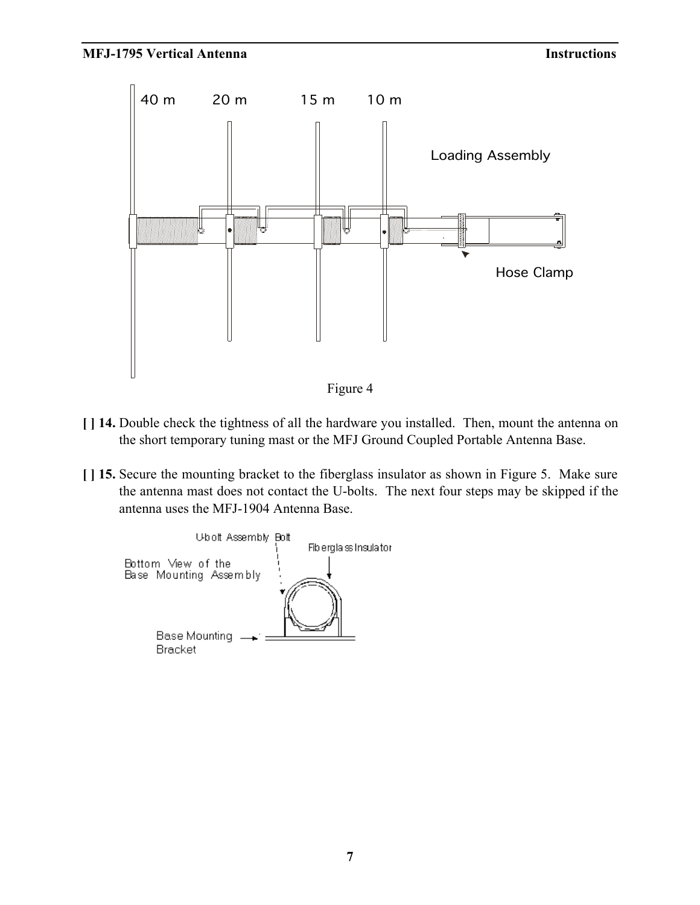

Figure 4

- **[ ] 14.** Double check the tightness of all the hardware you installed. Then, mount the antenna on the short temporary tuning mast or the MFJ Ground Coupled Portable Antenna Base.
- **[ ] 15.** Secure the mounting bracket to the fiberglass insulator as shown in Figure 5. Make sure the antenna mast does not contact the U-bolts. The next four steps may be skipped if the antenna uses the MFJ-1904 Antenna Base.

Ubolt Assembly Bolt Fib ergla ss Insulator Bottom View of the Base Mounting Assembly Base Mounting **Bracket**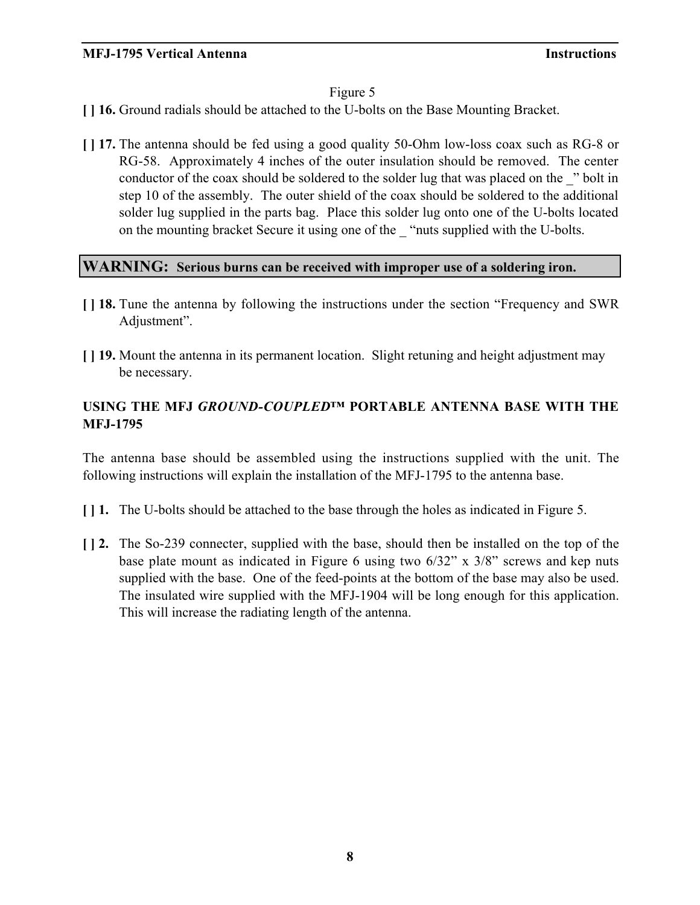### Figure 5

- **[ ] 16.** Ground radials should be attached to the U-bolts on the Base Mounting Bracket.
- **[ ] 17.** The antenna should be fed using a good quality 50-Ohm low-loss coax such as RG-8 or RG-58. Approximately 4 inches of the outer insulation should be removed. The center conductor of the coax should be soldered to the solder lug that was placed on the <sup>2</sup> bolt in step 10 of the assembly. The outer shield of the coax should be soldered to the additional solder lug supplied in the parts bag. Place this solder lug onto one of the U-bolts located on the mounting bracket Secure it using one of the \_ "nuts supplied with the U-bolts.

### **WARNING: Serious burns can be received with improper use of a soldering iron.**

- **[ ] 18.** Tune the antenna by following the instructions under the section "Frequency and SWR Adjustment".
- **[ ] 19.** Mount the antenna in its permanent location. Slight retuning and height adjustment may be necessary.

### **USING THE MFJ** *GROUND-COUPLED™* **PORTABLE ANTENNA BASE WITH THE MFJ-1795**

The antenna base should be assembled using the instructions supplied with the unit. The following instructions will explain the installation of the MFJ-1795 to the antenna base.

- **[ ] 1.** The U-bolts should be attached to the base through the holes as indicated in Figure 5.
- **[ ] 2.** The So-239 connecter, supplied with the base, should then be installed on the top of the base plate mount as indicated in Figure 6 using two 6/32" x 3/8" screws and kep nuts supplied with the base. One of the feed-points at the bottom of the base may also be used. The insulated wire supplied with the MFJ-1904 will be long enough for this application. This will increase the radiating length of the antenna.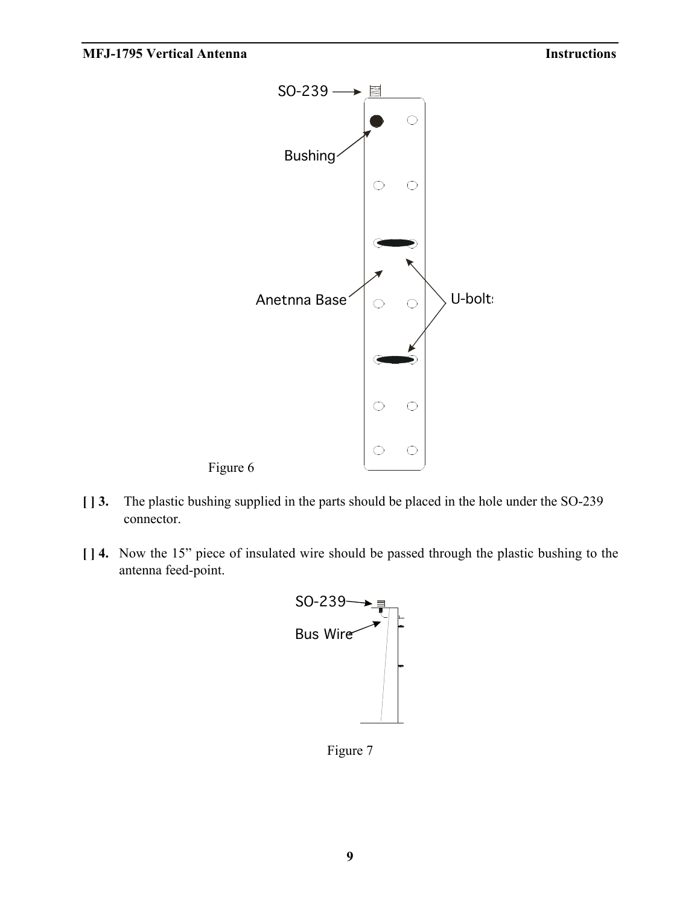

- **[ ] 3.** The plastic bushing supplied in the parts should be placed in the hole under the SO-239 connector.
- **[ ] 4.** Now the 15" piece of insulated wire should be passed through the plastic bushing to the antenna feed-point.



Figure 7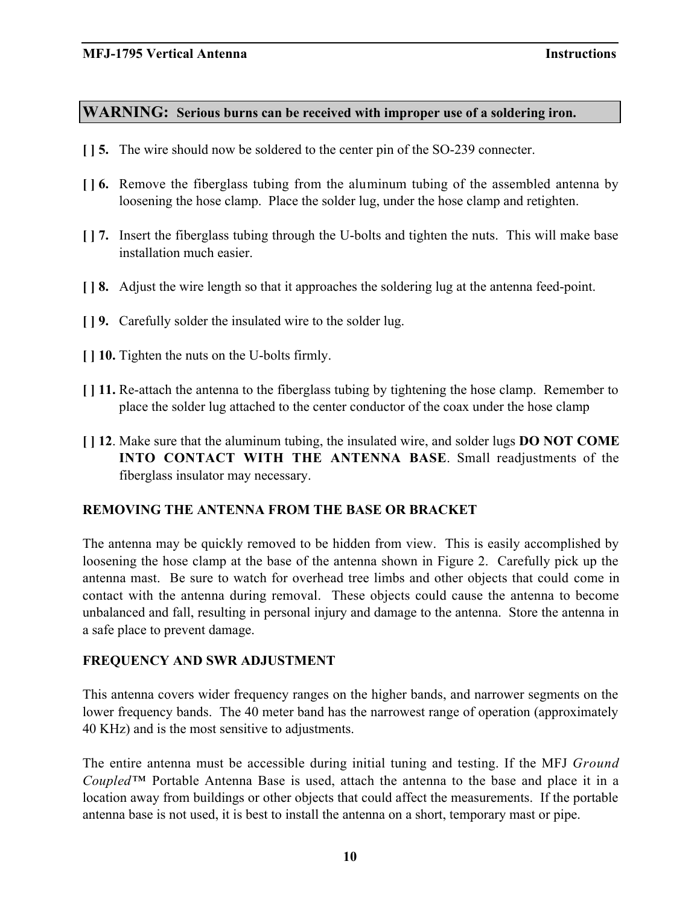### **WARNING: Serious burns can be received with improper use of a soldering iron.**

- **[ ] 5.** The wire should now be soldered to the center pin of the SO-239 connecter.
- **[ ] 6.** Remove the fiberglass tubing from the aluminum tubing of the assembled antenna by loosening the hose clamp. Place the solder lug, under the hose clamp and retighten.
- **[ ] 7.** Insert the fiberglass tubing through the U-bolts and tighten the nuts. This will make base installation much easier.
- **[ ] 8.** Adjust the wire length so that it approaches the soldering lug at the antenna feed-point.
- **[ ] 9.** Carefully solder the insulated wire to the solder lug.
- **[ ] 10.** Tighten the nuts on the U-bolts firmly.
- **[ ] 11.** Re-attach the antenna to the fiberglass tubing by tightening the hose clamp. Remember to place the solder lug attached to the center conductor of the coax under the hose clamp
- **[ ] 12**. Make sure that the aluminum tubing, the insulated wire, and solder lugs **DO NOT COME INTO CONTACT WITH THE ANTENNA BASE**. Small readjustments of the fiberglass insulator may necessary.

### **REMOVING THE ANTENNA FROM THE BASE OR BRACKET**

The antenna may be quickly removed to be hidden from view. This is easily accomplished by loosening the hose clamp at the base of the antenna shown in Figure 2. Carefully pick up the antenna mast. Be sure to watch for overhead tree limbs and other objects that could come in contact with the antenna during removal. These objects could cause the antenna to become unbalanced and fall, resulting in personal injury and damage to the antenna. Store the antenna in a safe place to prevent damage.

### **FREQUENCY AND SWR ADJUSTMENT**

This antenna covers wider frequency ranges on the higher bands, and narrower segments on the lower frequency bands. The 40 meter band has the narrowest range of operation (approximately 40 KHz) and is the most sensitive to adjustments.

The entire antenna must be accessible during initial tuning and testing. If the MFJ *Ground Coupled™* Portable Antenna Base is used, attach the antenna to the base and place it in a location away from buildings or other objects that could affect the measurements. If the portable antenna base is not used, it is best to install the antenna on a short, temporary mast or pipe.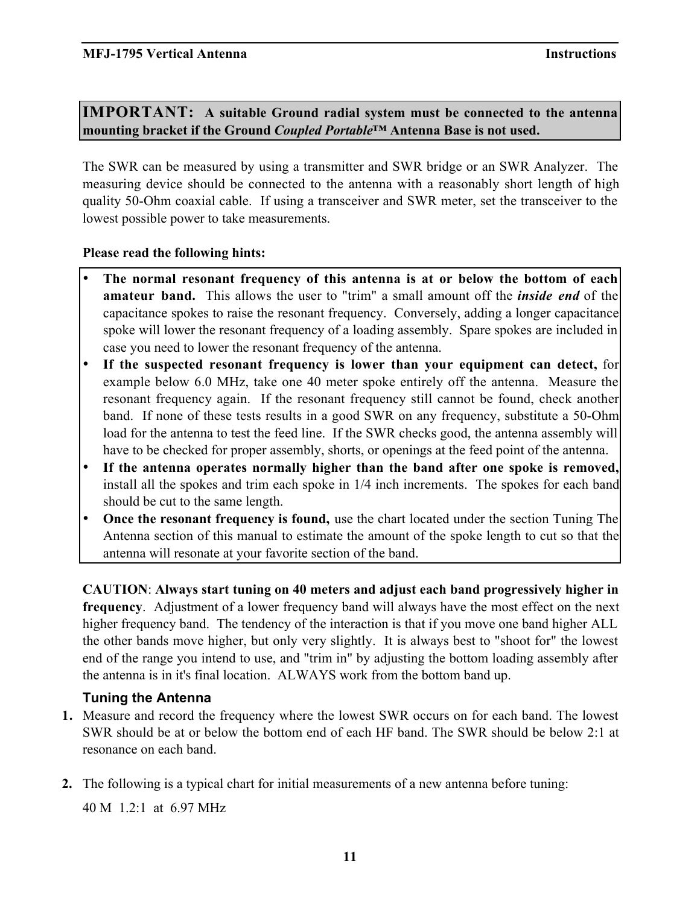**IMPORTANT: A suitable Ground radial system must be connected to the antenna mounting bracket if the Ground** *Coupled Portable™* **Antenna Base is not used.**

The SWR can be measured by using a transmitter and SWR bridge or an SWR Analyzer. The measuring device should be connected to the antenna with a reasonably short length of high quality 50-Ohm coaxial cable. If using a transceiver and SWR meter, set the transceiver to the lowest possible power to take measurements.

### **Please read the following hints:**

**The normal resonant frequency of this antenna is at or below the bottom of each amateur band.** This allows the user to "trim" a small amount off the *inside end* of the capacitance spokes to raise the resonant frequency. Conversely, adding a longer capacitance spoke will lower the resonant frequency of a loading assembly. Spare spokes are included in case you need to lower the resonant frequency of the antenna.

**If the suspected resonant frequency is lower than your equipment can detect,** for example below 6.0 MHz, take one 40 meter spoke entirely off the antenna. Measure the resonant frequency again. If the resonant frequency still cannot be found, check another band. If none of these tests results in a good SWR on any frequency, substitute a 50-Ohm load for the antenna to test the feed line. If the SWR checks good, the antenna assembly will have to be checked for proper assembly, shorts, or openings at the feed point of the antenna.

**If the antenna operates normally higher than the band after one spoke is removed,** install all the spokes and trim each spoke in 1/4 inch increments. The spokes for each band should be cut to the same length.

**Once the resonant frequency is found,** use the chart located under the section Tuning The Antenna section of this manual to estimate the amount of the spoke length to cut so that the antenna will resonate at your favorite section of the band.

**CAUTION**: **Always start tuning on 40 meters and adjust each band progressively higher in frequency**. Adjustment of a lower frequency band will always have the most effect on the next higher frequency band. The tendency of the interaction is that if you move one band higher ALL the other bands move higher, but only very slightly. It is always best to "shoot for" the lowest end of the range you intend to use, and "trim in" by adjusting the bottom loading assembly after the antenna is in it's final location. ALWAYS work from the bottom band up.

### **Tuning the Antenna**

- **1.** Measure and record the frequency where the lowest SWR occurs on for each band. The lowest SWR should be at or below the bottom end of each HF band. The SWR should be below 2:1 at resonance on each band.
- **2.** The following is a typical chart for initial measurements of a new antenna before tuning:

40 M 1.2:1 at 6.97 MHz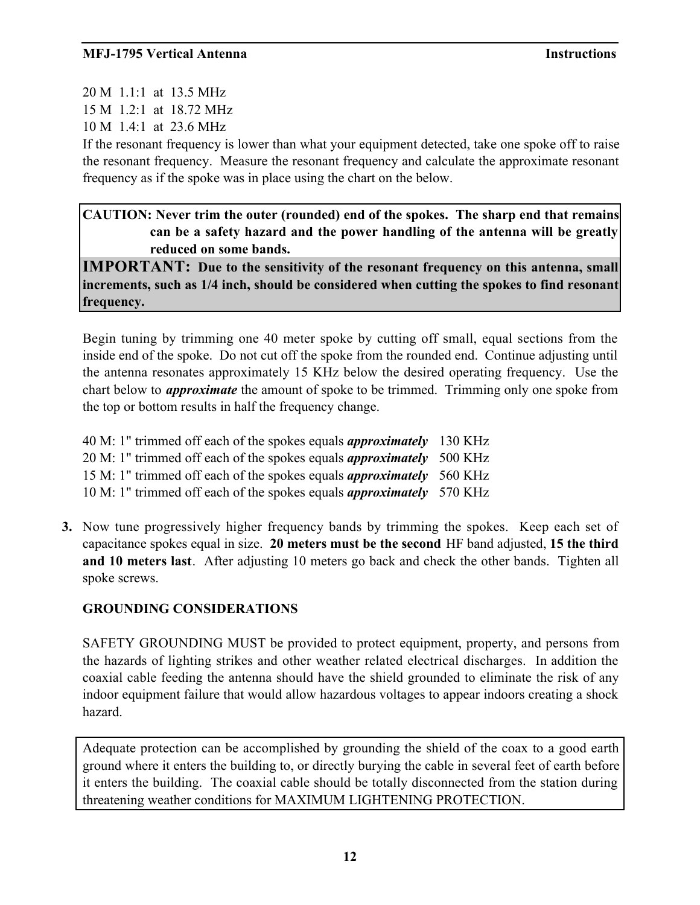20 M 1.1:1 at 13.5 MHz 15 M 1.2:1 at 18.72 MHz 10 M 1.4:1 at 23.6 MHz

If the resonant frequency is lower than what your equipment detected, take one spoke off to raise the resonant frequency. Measure the resonant frequency and calculate the approximate resonant frequency as if the spoke was in place using the chart on the below.

### **CAUTION: Never trim the outer (rounded) end of the spokes. The sharp end that remains can be a safety hazard and the power handling of the antenna will be greatly reduced on some bands.**

**IMPORTANT: Due to the sensitivity of the resonant frequency on this antenna, small increments, such as 1/4 inch, should be considered when cutting the spokes to find resonant frequency.**

Begin tuning by trimming one 40 meter spoke by cutting off small, equal sections from the inside end of the spoke. Do not cut off the spoke from the rounded end. Continue adjusting until the antenna resonates approximately 15 KHz below the desired operating frequency. Use the chart below to *approximate* the amount of spoke to be trimmed. Trimming only one spoke from the top or bottom results in half the frequency change.

| 40 M: 1" trimmed off each of the spokes equals <i>approximately</i> 130 KHz |  |
|-----------------------------------------------------------------------------|--|
| 20 M: 1" trimmed off each of the spokes equals <i>approximately</i> 500 KHz |  |
| 15 M: 1" trimmed off each of the spokes equals <i>approximately</i> 560 KHz |  |
| 10 M: 1" trimmed off each of the spokes equals <i>approximately</i> 570 KHz |  |

**3.** Now tune progressively higher frequency bands by trimming the spokes. Keep each set of capacitance spokes equal in size. **20 meters must be the second** HF band adjusted, **15 the third and 10 meters last**. After adjusting 10 meters go back and check the other bands. Tighten all spoke screws.

## **GROUNDING CONSIDERATIONS**

SAFETY GROUNDING MUST be provided to protect equipment, property, and persons from the hazards of lighting strikes and other weather related electrical discharges. In addition the coaxial cable feeding the antenna should have the shield grounded to eliminate the risk of any indoor equipment failure that would allow hazardous voltages to appear indoors creating a shock hazard.

Adequate protection can be accomplished by grounding the shield of the coax to a good earth ground where it enters the building to, or directly burying the cable in several feet of earth before it enters the building. The coaxial cable should be totally disconnected from the station during threatening weather conditions for MAXIMUM LIGHTENING PROTECTION.